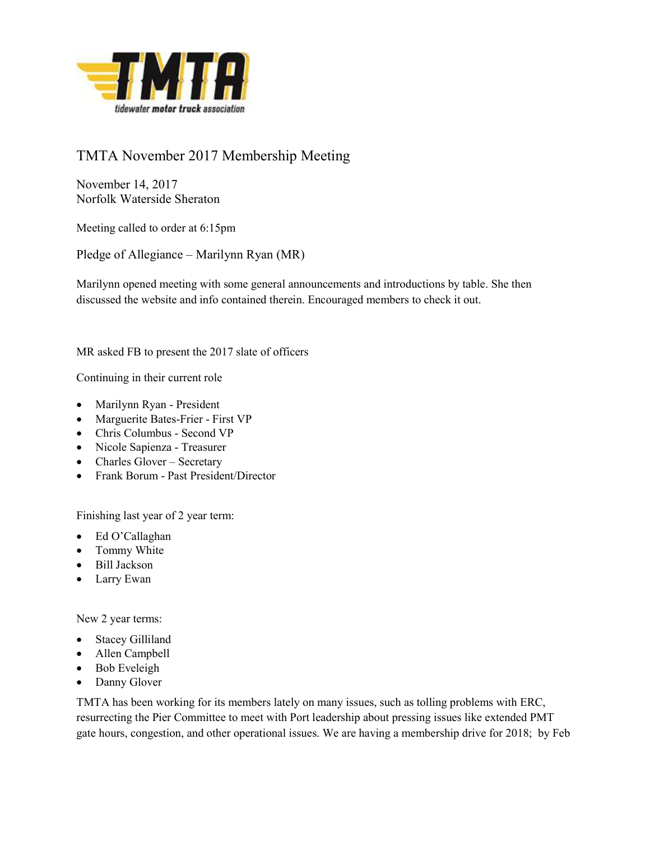

# TMTA November 2017 Membership Meeting

November 14, 2017 Norfolk Waterside Sheraton

Meeting called to order at 6:15pm

Pledge of Allegiance – Marilynn Ryan (MR)

Marilynn opened meeting with some general announcements and introductions by table. She then discussed the website and info contained therein. Encouraged members to check it out.

MR asked FB to present the 2017 slate of officers

Continuing in their current role

- Marilynn Ryan President
- Marguerite Bates-Frier First VP
- Chris Columbus Second VP
- Nicole Sapienza Treasurer
- Charles Glover Secretary
- Frank Borum Past President/Director

Finishing last year of 2 year term:

- Ed O'Callaghan
- Tommy White
- Bill Jackson
- Larry Ewan

New 2 year terms:

- Stacey Gilliland
- Allen Campbell
- Bob Eveleigh
- Danny Glover

TMTA has been working for its members lately on many issues, such as tolling problems with ERC, resurrecting the Pier Committee to meet with Port leadership about pressing issues like extended PMT gate hours, congestion, and other operational issues. We are having a membership drive for 2018; by Feb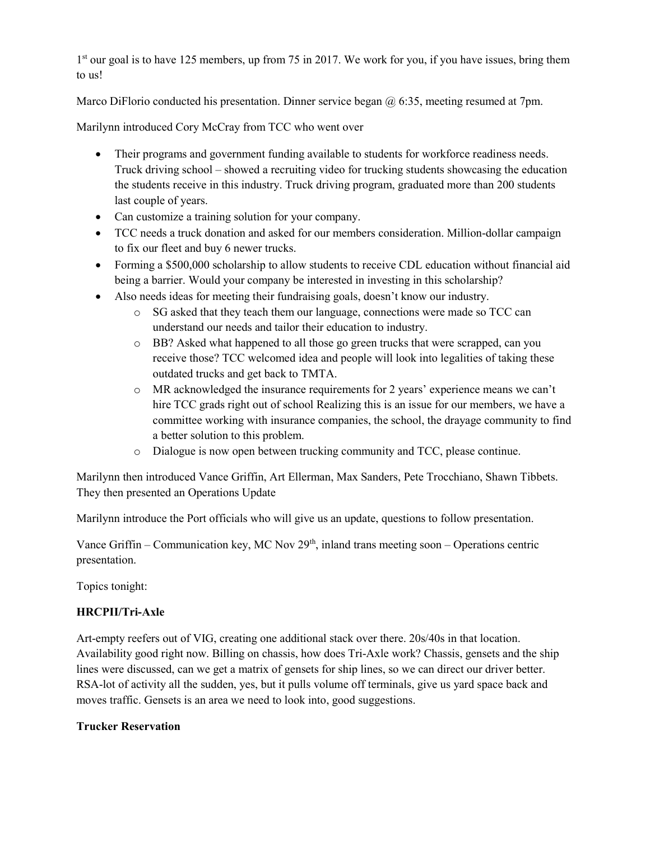1<sup>st</sup> our goal is to have 125 members, up from 75 in 2017. We work for you, if you have issues, bring them to us!

Marco DiFlorio conducted his presentation. Dinner service began  $\omega$  6:35, meeting resumed at 7pm.

Marilynn introduced Cory McCray from TCC who went over

- Their programs and government funding available to students for workforce readiness needs. Truck driving school – showed a recruiting video for trucking students showcasing the education the students receive in this industry. Truck driving program, graduated more than 200 students last couple of years.
- Can customize a training solution for your company.
- TCC needs a truck donation and asked for our members consideration. Million-dollar campaign to fix our fleet and buy 6 newer trucks.
- Forming a \$500,000 scholarship to allow students to receive CDL education without financial aid being a barrier. Would your company be interested in investing in this scholarship?
- Also needs ideas for meeting their fundraising goals, doesn't know our industry.
	- o SG asked that they teach them our language, connections were made so TCC can understand our needs and tailor their education to industry.
	- o BB? Asked what happened to all those go green trucks that were scrapped, can you receive those? TCC welcomed idea and people will look into legalities of taking these outdated trucks and get back to TMTA.
	- o MR acknowledged the insurance requirements for 2 years' experience means we can't hire TCC grads right out of school Realizing this is an issue for our members, we have a committee working with insurance companies, the school, the drayage community to find a better solution to this problem.
	- o Dialogue is now open between trucking community and TCC, please continue.

Marilynn then introduced Vance Griffin, Art Ellerman, Max Sanders, Pete Trocchiano, Shawn Tibbets. They then presented an Operations Update

Marilynn introduce the Port officials who will give us an update, questions to follow presentation.

Vance Griffin – Communication key, MC Nov  $29<sup>th</sup>$ , inland trans meeting soon – Operations centric presentation.

Topics tonight:

## HRCPII/Tri-Axle

Art-empty reefers out of VIG, creating one additional stack over there. 20s/40s in that location. Availability good right now. Billing on chassis, how does Tri-Axle work? Chassis, gensets and the ship lines were discussed, can we get a matrix of gensets for ship lines, so we can direct our driver better. RSA-lot of activity all the sudden, yes, but it pulls volume off terminals, give us yard space back and moves traffic. Gensets is an area we need to look into, good suggestions.

## Trucker Reservation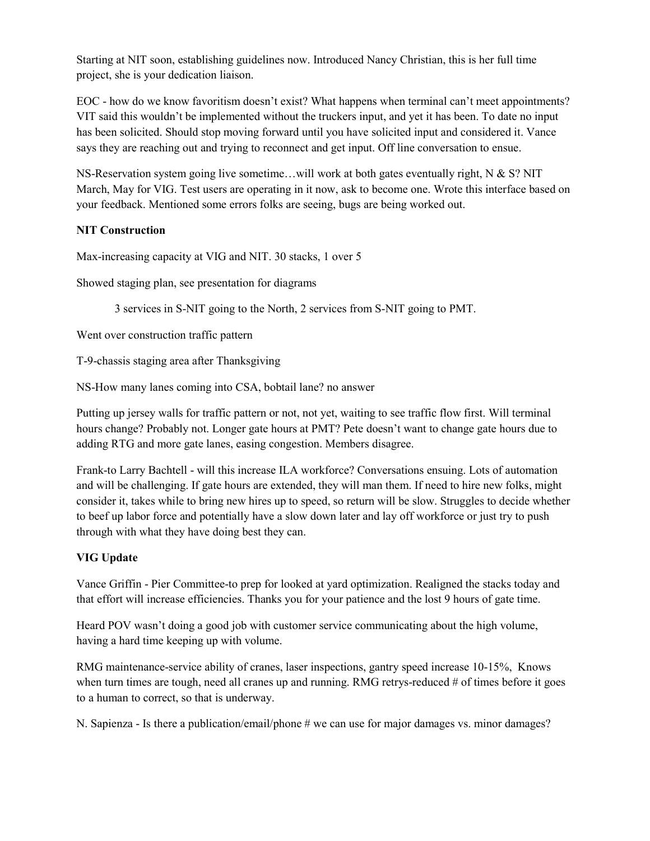Starting at NIT soon, establishing guidelines now. Introduced Nancy Christian, this is her full time project, she is your dedication liaison.

EOC - how do we know favoritism doesn't exist? What happens when terminal can't meet appointments? VIT said this wouldn't be implemented without the truckers input, and yet it has been. To date no input has been solicited. Should stop moving forward until you have solicited input and considered it. Vance says they are reaching out and trying to reconnect and get input. Off line conversation to ensue.

NS-Reservation system going live sometime...will work at both gates eventually right,  $N \& S$ ? NIT March, May for VIG. Test users are operating in it now, ask to become one. Wrote this interface based on your feedback. Mentioned some errors folks are seeing, bugs are being worked out.

## NIT Construction

Max-increasing capacity at VIG and NIT. 30 stacks, 1 over 5

Showed staging plan, see presentation for diagrams

3 services in S-NIT going to the North, 2 services from S-NIT going to PMT.

Went over construction traffic pattern

T-9-chassis staging area after Thanksgiving

NS-How many lanes coming into CSA, bobtail lane? no answer

Putting up jersey walls for traffic pattern or not, not yet, waiting to see traffic flow first. Will terminal hours change? Probably not. Longer gate hours at PMT? Pete doesn't want to change gate hours due to adding RTG and more gate lanes, easing congestion. Members disagree.

Frank-to Larry Bachtell - will this increase ILA workforce? Conversations ensuing. Lots of automation and will be challenging. If gate hours are extended, they will man them. If need to hire new folks, might consider it, takes while to bring new hires up to speed, so return will be slow. Struggles to decide whether to beef up labor force and potentially have a slow down later and lay off workforce or just try to push through with what they have doing best they can.

## VIG Update

Vance Griffin - Pier Committee-to prep for looked at yard optimization. Realigned the stacks today and that effort will increase efficiencies. Thanks you for your patience and the lost 9 hours of gate time.

Heard POV wasn't doing a good job with customer service communicating about the high volume, having a hard time keeping up with volume.

RMG maintenance-service ability of cranes, laser inspections, gantry speed increase 10-15%, Knows when turn times are tough, need all cranes up and running. RMG retrys-reduced # of times before it goes to a human to correct, so that is underway.

N. Sapienza - Is there a publication/email/phone # we can use for major damages vs. minor damages?